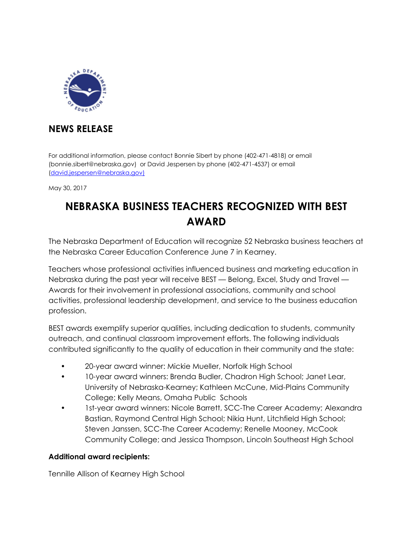

## **NEWS RELEASE**

For additional information, please contact Bonnie Sibert by phone (402-471-4818) or email (bonnie.sibert@nebraska.gov) or David Jespersen by phone (402-471-4537) or email [\(david.jespersen@nebraska.gov\)](mailto:david.jespersen@nebraska.gov))

May 30, 2017

## **NEBRASKA BUSINESS TEACHERS RECOGNIZED WITH BEST AWARD**

The Nebraska Department of Education will recognize 52 Nebraska business teachers at the Nebraska Career Education Conference June 7 in Kearney.

Teachers whose professional activities influenced business and marketing education in Nebraska during the past year will receive BEST — Belong, Excel, Study and Travel — Awards for their involvement in professional associations, community and school activities, professional leadership development, and service to the business education profession.

BEST awards exemplify superior qualities, including dedication to students, community outreach, and continual classroom improvement efforts. The following individuals contributed significantly to the quality of education in their community and the state:

- 20-year award winner: Mickie Mueller, Norfolk High School
- 10-year award winners: Brenda Budler, Chadron High School; Janet Lear, University of Nebraska-Kearney; Kathleen McCune, Mid-Plains Community College; Kelly Means, Omaha Public Schools
- 1st-year award winners: Nicole Barrett, SCC-The Career Academy; Alexandra Bastian, Raymond Central High School; Nikia Hunt, Litchfield High School; Steven Janssen, SCC-The Career Academy; Renelle Mooney, McCook Community College; and Jessica Thompson, Lincoln Southeast High School

## **Additional award recipients:**

Tennille Allison of Kearney High School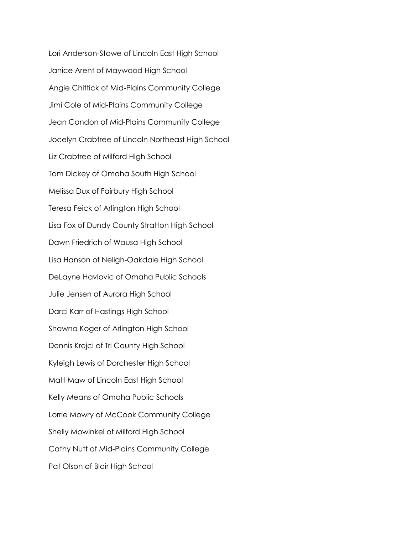Lori Anderson-Stowe of Lincoln East High School Janice Arent of Maywood High School Angie Chittick of Mid-Plains Community College Jimi Cole of Mid-Plains Community College Jean Condon of Mid-Plains Community College Jocelyn Crabtree of Lincoln Northeast High School Liz Crabtree of Milford High School Tom Dickey of Omaha South High School Melissa Dux of Fairbury High School Teresa Feick of Arlington High School Lisa Fox of Dundy County Stratton High School Dawn Friedrich of Wausa High School Lisa Hanson of Neligh-Oakdale High School DeLayne Havlovic of Omaha Public Schools Julie Jensen of Aurora High School Darci Karr of Hastings High School Shawna Koger of Arlington High School Dennis Krejci of Tri County High School Kyleigh Lewis of Dorchester High School Matt Maw of Lincoln East High School Kelly Means of Omaha Public Schools Lorrie Mowry of McCook Community College Shelly Mowinkel of Milford High School Cathy Nutt of Mid-Plains Community College Pat Olson of Blair High School